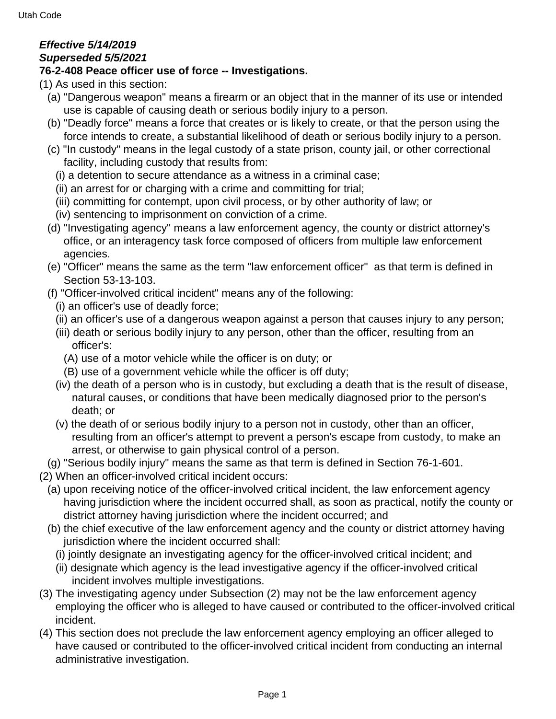## **Effective 5/14/2019 Superseded 5/5/2021**

## **76-2-408 Peace officer use of force -- Investigations.**

(1) As used in this section:

- (a) "Dangerous weapon" means a firearm or an object that in the manner of its use or intended use is capable of causing death or serious bodily injury to a person.
- (b) "Deadly force" means a force that creates or is likely to create, or that the person using the force intends to create, a substantial likelihood of death or serious bodily injury to a person.
- (c) "In custody" means in the legal custody of a state prison, county jail, or other correctional facility, including custody that results from:
	- (i) a detention to secure attendance as a witness in a criminal case;
	- (ii) an arrest for or charging with a crime and committing for trial;
	- (iii) committing for contempt, upon civil process, or by other authority of law; or
	- (iv) sentencing to imprisonment on conviction of a crime.
- (d) "Investigating agency" means a law enforcement agency, the county or district attorney's office, or an interagency task force composed of officers from multiple law enforcement agencies.
- (e) "Officer" means the same as the term "law enforcement officer" as that term is defined in Section 53-13-103.
- (f) "Officer-involved critical incident" means any of the following:
	- (i) an officer's use of deadly force;
	- (ii) an officer's use of a dangerous weapon against a person that causes injury to any person;
	- (iii) death or serious bodily injury to any person, other than the officer, resulting from an officer's:
		- (A) use of a motor vehicle while the officer is on duty; or
	- (B) use of a government vehicle while the officer is off duty;
	- (iv) the death of a person who is in custody, but excluding a death that is the result of disease, natural causes, or conditions that have been medically diagnosed prior to the person's death; or
	- (v) the death of or serious bodily injury to a person not in custody, other than an officer, resulting from an officer's attempt to prevent a person's escape from custody, to make an arrest, or otherwise to gain physical control of a person.
- (g) "Serious bodily injury" means the same as that term is defined in Section 76-1-601.
- (2) When an officer-involved critical incident occurs:
	- (a) upon receiving notice of the officer-involved critical incident, the law enforcement agency having jurisdiction where the incident occurred shall, as soon as practical, notify the county or district attorney having jurisdiction where the incident occurred; and
	- (b) the chief executive of the law enforcement agency and the county or district attorney having jurisdiction where the incident occurred shall:
		- (i) jointly designate an investigating agency for the officer-involved critical incident; and
	- (ii) designate which agency is the lead investigative agency if the officer-involved critical incident involves multiple investigations.
- (3) The investigating agency under Subsection (2) may not be the law enforcement agency employing the officer who is alleged to have caused or contributed to the officer-involved critical incident.
- (4) This section does not preclude the law enforcement agency employing an officer alleged to have caused or contributed to the officer-involved critical incident from conducting an internal administrative investigation.